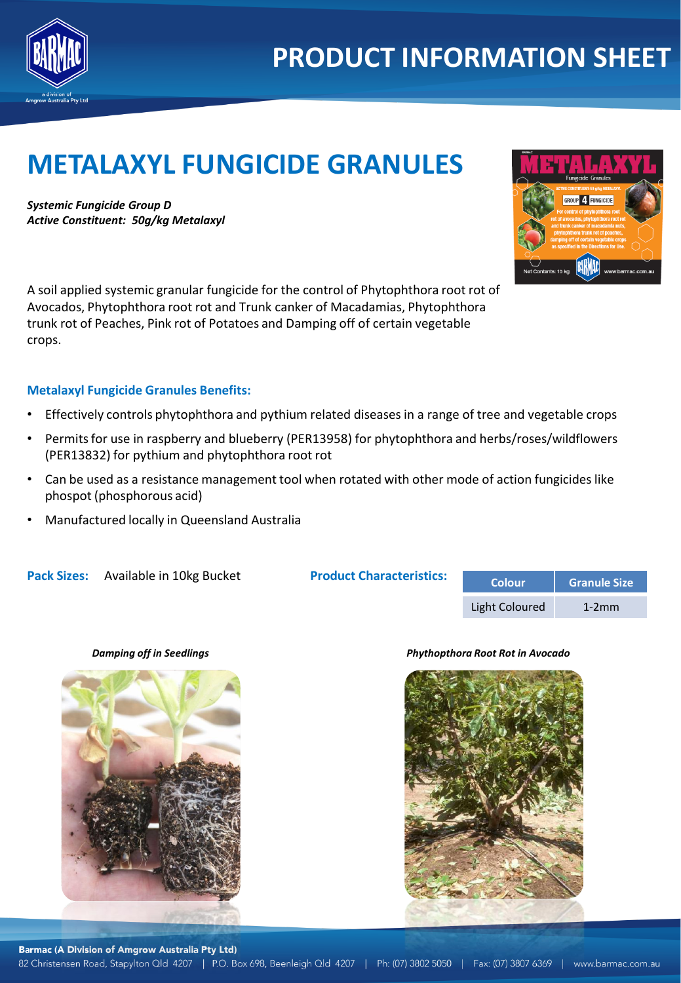

## **PRODUCT INFORMATION SHEET**

# **METALAXYL FUNGICIDE GRANULES**

*Systemic Fungicide Group D Active Constituent: 50g/kg Metalaxyl*



A soil applied systemic granular fungicide for the control of Phytophthora root rot of Avocados, Phytophthora root rot and Trunk canker of Macadamias, Phytophthora trunk rot of Peaches, Pink rot of Potatoes and Damping off of certain vegetable crops.

### **Metalaxyl Fungicide Granules Benefits:**

- Effectively controls phytophthora and pythium related diseases in a range of tree and vegetable crops
- Permits for use in raspberry and blueberry (PER13958) for phytophthora and herbs/roses/wildflowers (PER13832) for pythium and phytophthora root rot
- Can be used as a resistance management tool when rotated with other mode of action fungicides like phospot (phosphorous acid)
- Manufactured locally in Queensland Australia

**Pack Sizes:** Available in 10kg Bucket

**Product Characteristics:** 

| <b>Colour</b>  | <b>Granule Size</b> |  |  |
|----------------|---------------------|--|--|
| Light Coloured | $1-2mm$             |  |  |

#### *Damping off in Seedlings Phythopthora Root Rot in Avocado*

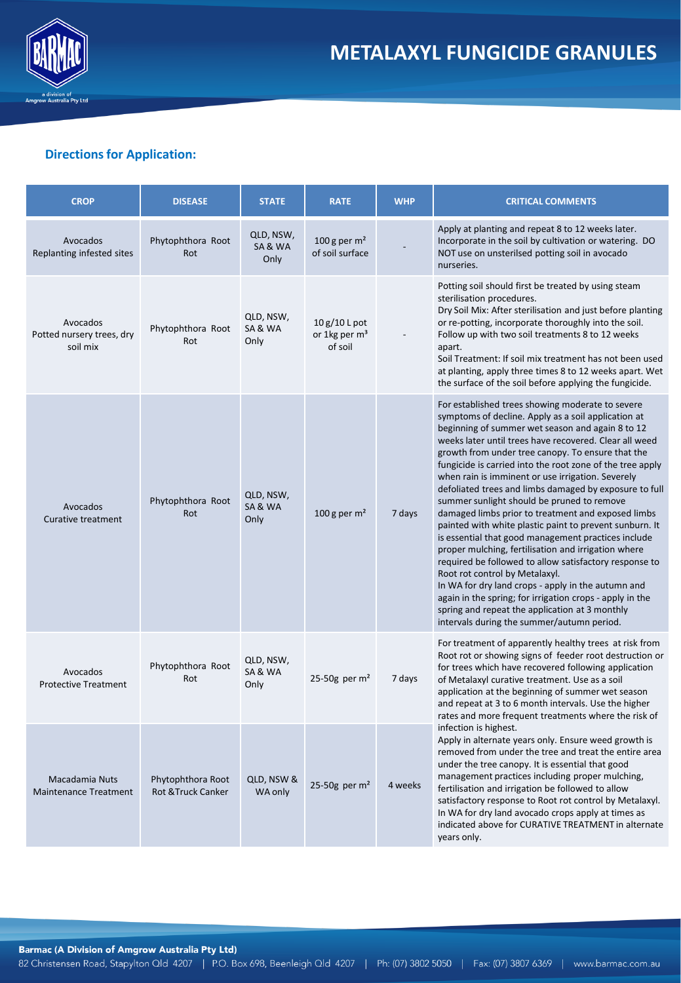

## **Directions for Application:**

| <b>CROP</b>                                       | <b>DISEASE</b>                          | <b>STATE</b>               | <b>RATE</b>                                           | <b>WHP</b> | <b>CRITICAL COMMENTS</b>                                                                                                                                                                                                                                                                                                                                                                                                                                                                                                                                                                                                                                                                                                                                                                                                                                                                                                                                                                                                                          |
|---------------------------------------------------|-----------------------------------------|----------------------------|-------------------------------------------------------|------------|---------------------------------------------------------------------------------------------------------------------------------------------------------------------------------------------------------------------------------------------------------------------------------------------------------------------------------------------------------------------------------------------------------------------------------------------------------------------------------------------------------------------------------------------------------------------------------------------------------------------------------------------------------------------------------------------------------------------------------------------------------------------------------------------------------------------------------------------------------------------------------------------------------------------------------------------------------------------------------------------------------------------------------------------------|
| Avocados<br>Replanting infested sites             | Phytophthora Root<br>Rot                | QLD, NSW,<br>SA&WA<br>Only | 100 g per $m2$<br>of soil surface                     |            | Apply at planting and repeat 8 to 12 weeks later.<br>Incorporate in the soil by cultivation or watering. DO<br>NOT use on unsterilsed potting soil in avocado<br>nurseries.                                                                                                                                                                                                                                                                                                                                                                                                                                                                                                                                                                                                                                                                                                                                                                                                                                                                       |
| Avocados<br>Potted nursery trees, dry<br>soil mix | Phytophthora Root<br>Rot                | QLD, NSW,<br>SA&WA<br>Only | $10g/10L$ pot<br>or 1kg per m <sup>3</sup><br>of soil |            | Potting soil should first be treated by using steam<br>sterilisation procedures.<br>Dry Soil Mix: After sterilisation and just before planting<br>or re-potting, incorporate thoroughly into the soil.<br>Follow up with two soil treatments 8 to 12 weeks<br>apart.<br>Soil Treatment: If soil mix treatment has not been used<br>at planting, apply three times 8 to 12 weeks apart. Wet<br>the surface of the soil before applying the fungicide.                                                                                                                                                                                                                                                                                                                                                                                                                                                                                                                                                                                              |
| Avocados<br><b>Curative treatment</b>             | Phytophthora Root<br>Rot                | QLD, NSW,<br>SA&WA<br>Only | 100 g per $m2$                                        | 7 days     | For established trees showing moderate to severe<br>symptoms of decline. Apply as a soil application at<br>beginning of summer wet season and again 8 to 12<br>weeks later until trees have recovered. Clear all weed<br>growth from under tree canopy. To ensure that the<br>fungicide is carried into the root zone of the tree apply<br>when rain is imminent or use irrigation. Severely<br>defoliated trees and limbs damaged by exposure to full<br>summer sunlight should be pruned to remove<br>damaged limbs prior to treatment and exposed limbs<br>painted with white plastic paint to prevent sunburn. It<br>is essential that good management practices include<br>proper mulching, fertilisation and irrigation where<br>required be followed to allow satisfactory response to<br>Root rot control by Metalaxyl.<br>In WA for dry land crops - apply in the autumn and<br>again in the spring; for irrigation crops - apply in the<br>spring and repeat the application at 3 monthly<br>intervals during the summer/autumn period. |
| Avocados<br><b>Protective Treatment</b>           | Phytophthora Root<br>Rot                | QLD, NSW,<br>SA&WA<br>Only | 25-50g per $m2$                                       | 7 days     | For treatment of apparently healthy trees at risk from<br>Root rot or showing signs of feeder root destruction or<br>for trees which have recovered following application<br>of Metalaxyl curative treatment. Use as a soil<br>application at the beginning of summer wet season<br>and repeat at 3 to 6 month intervals. Use the higher<br>rates and more frequent treatments where the risk of<br>infection is highest.<br>Apply in alternate years only. Ensure weed growth is<br>removed from under the tree and treat the entire area<br>under the tree canopy. It is essential that good<br>management practices including proper mulching,<br>fertilisation and irrigation be followed to allow<br>satisfactory response to Root rot control by Metalaxyl.<br>In WA for dry land avocado crops apply at times as<br>indicated above for CURATIVE TREATMENT in alternate<br>vears only.                                                                                                                                                     |
| Macadamia Nuts<br><b>Maintenance Treatment</b>    | Phytophthora Root<br>Rot & Truck Canker | QLD, NSW &<br>WA only      | 25-50g per $m2$                                       | 4 weeks    |                                                                                                                                                                                                                                                                                                                                                                                                                                                                                                                                                                                                                                                                                                                                                                                                                                                                                                                                                                                                                                                   |